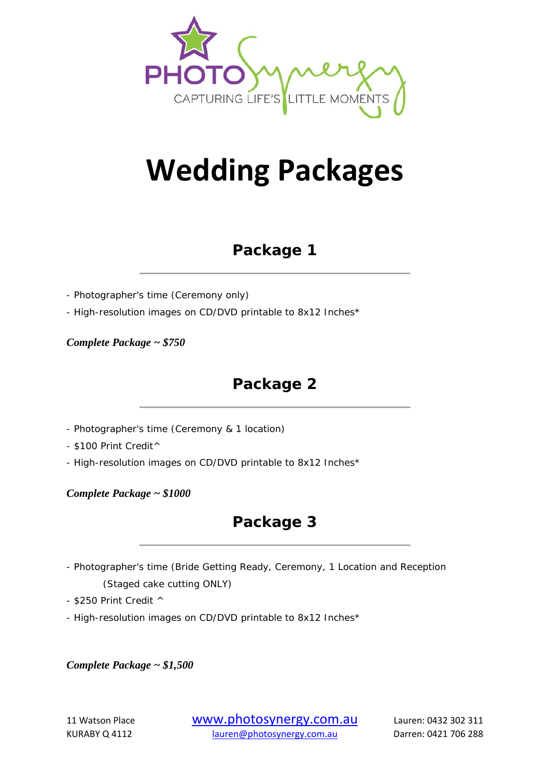

# **Wedding Packages**

### **Package 1**

- Photographer's time (Ceremony only)

- High-resolution images on CD/DVD printable to 8x12 Inches\*

*Complete Package ~ \$750* 

## **Package 2**

- Photographer's time (Ceremony & 1 location)

- \$100 Print Credit^

- High-resolution images on CD/DVD printable to 8x12 Inches\*

*Complete Package ~ \$1000* 

### **Package 3**

- Photographer's time (Bride Getting Ready, Ceremony, 1 Location and Reception (Staged cake cutting ONLY)

- \$250 Print Credit ^

- High-resolution images on CD/DVD printable to 8x12 Inches\*

*Complete Package ~ \$1,500* 

<sup>11</sup> Watson Place www.photosynergy.com.au Lauren: <sup>0432</sup> <sup>302</sup> <sup>311</sup> KURABY Q 4112 lauren@photosynergy.com.au Darren: 0421 706 288